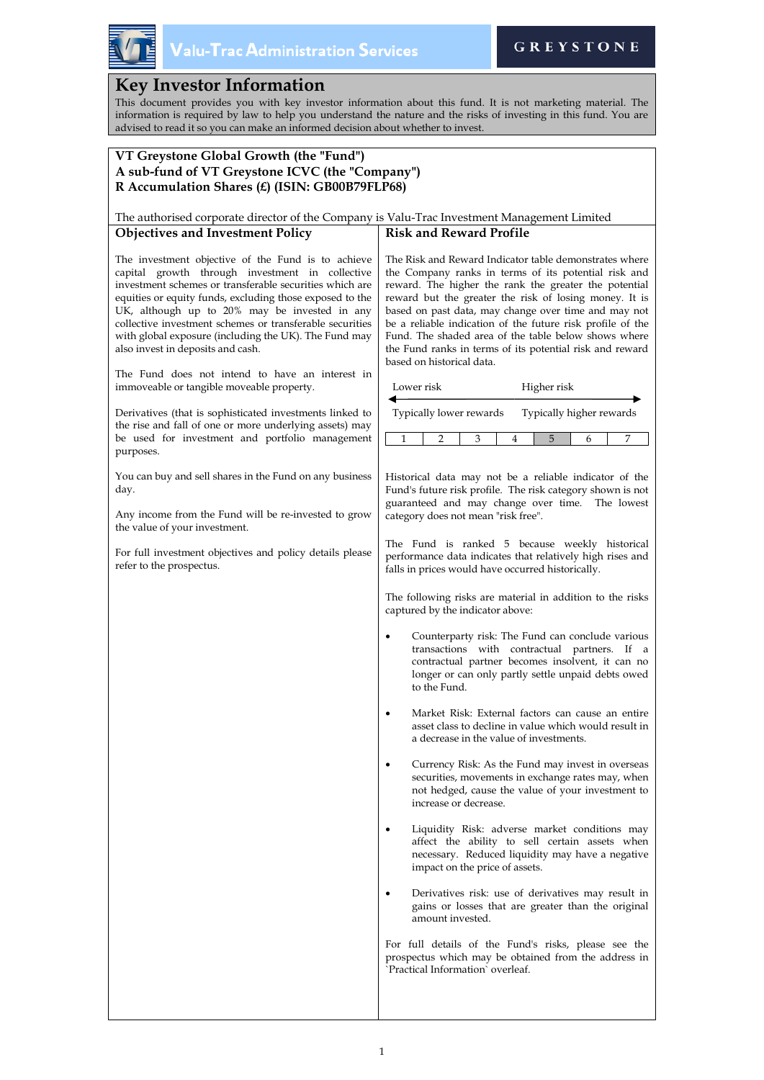

# **Key Investor Information**

This document provides you with key investor information about this fund. It is not marketing material. The information is required by law to help you understand the nature and the risks of investing in this fund. You are advised to read it so you can make an informed decision about whether to invest.

## **VT Greystone Global Growth (the "Fund") A sub-fund of VT Greystone ICVC (the "Company") R Accumulation Shares (£) (ISIN: GB00B79FLP68)**

#### The authorised corporate director of the Company is Valu-Trac Investment Management Limited **Objectives and Investment Policy Risk and Reward Profile**

The investment objective of the Fund is to achieve capital growth through investment in collective investment schemes or transferable securities which are equities or equity funds, excluding those exposed to the UK, although up to 20% may be invested in any collective investment schemes or transferable securities with global exposure (including the UK). The Fund may also invest in deposits and cash.

The Fund does not intend to have an interest immoveable or tangible moveable property.

Derivatives (that is sophisticated investments linked the rise and fall of one or more underlying assets) m be used for investment and portfolio manageme purposes.

You can buy and sell shares in the Fund on any business day.

Any income from the Fund will be re-invested to grow the value of your investment.

For full investment objectives and policy details please refer to the prospectus.

The Risk and Reward Indicator table demonstrates where the Company ranks in terms of its potential risk and reward. The higher the rank the greater the potential reward but the greater the risk of losing money. It is based on past data, may change over time and may not be a reliable indication of the future risk profile of the Fund. The shaded area of the table below shows where the Fund ranks in terms of its potential risk and reward based on historical data.

| in         |                                                                                                                                                                                                                                                                   | Lower risk                                                                                                                                                                                                                          |   |                       | Higher risk                    |   |   |                                                                                                                                                             |  |
|------------|-------------------------------------------------------------------------------------------------------------------------------------------------------------------------------------------------------------------------------------------------------------------|-------------------------------------------------------------------------------------------------------------------------------------------------------------------------------------------------------------------------------------|---|-----------------------|--------------------------------|---|---|-------------------------------------------------------------------------------------------------------------------------------------------------------------|--|
| l to       |                                                                                                                                                                                                                                                                   | Typically lower rewards                                                                                                                                                                                                             |   |                       | Typically higher rewards       |   |   |                                                                                                                                                             |  |
| iay<br>ent | 1                                                                                                                                                                                                                                                                 |                                                                                                                                                                                                                                     | 2 | 3                     | 4                              | 5 | 6 | 7                                                                                                                                                           |  |
| ess<br>ow  | Historical data may not be a reliable indicator of the<br>Fund's future risk profile. The risk category shown is not<br>guaranteed and may change over time. The lowest<br>category does not mean "risk free".                                                    |                                                                                                                                                                                                                                     |   |                       |                                |   |   |                                                                                                                                                             |  |
| ase        | The Fund is ranked 5 because weekly historical<br>performance data indicates that relatively high rises and<br>falls in prices would have occurred historically.<br>The following risks are material in addition to the risks<br>captured by the indicator above: |                                                                                                                                                                                                                                     |   |                       |                                |   |   |                                                                                                                                                             |  |
|            |                                                                                                                                                                                                                                                                   |                                                                                                                                                                                                                                     |   |                       |                                |   |   |                                                                                                                                                             |  |
|            |                                                                                                                                                                                                                                                                   | Counterparty risk: The Fund can conclude various<br>with contractual partners.<br>transactions<br>If<br>a<br>contractual partner becomes insolvent, it can no<br>longer or can only partly settle unpaid debts owed<br>to the Fund. |   |                       |                                |   |   |                                                                                                                                                             |  |
|            |                                                                                                                                                                                                                                                                   | Market Risk: External factors can cause an entire<br>asset class to decline in value which would result in<br>a decrease in the value of investments.                                                                               |   |                       |                                |   |   |                                                                                                                                                             |  |
|            |                                                                                                                                                                                                                                                                   |                                                                                                                                                                                                                                     |   | increase or decrease. |                                |   |   | Currency Risk: As the Fund may invest in overseas<br>securities, movements in exchange rates may, when<br>not hedged, cause the value of your investment to |  |
|            |                                                                                                                                                                                                                                                                   |                                                                                                                                                                                                                                     |   |                       | impact on the price of assets. |   |   | Liquidity Risk: adverse market conditions may<br>affect the ability to sell certain assets when<br>necessary. Reduced liquidity may have a negative         |  |
|            |                                                                                                                                                                                                                                                                   |                                                                                                                                                                                                                                     |   |                       |                                |   |   | 1.1                                                                                                                                                         |  |

• Derivatives risk: use of derivatives may result in gains or losses that are greater than the original amount invested.

For full details of the Fund's risks, please see the prospectus which may be obtained from the address in `Practical Information` overleaf.